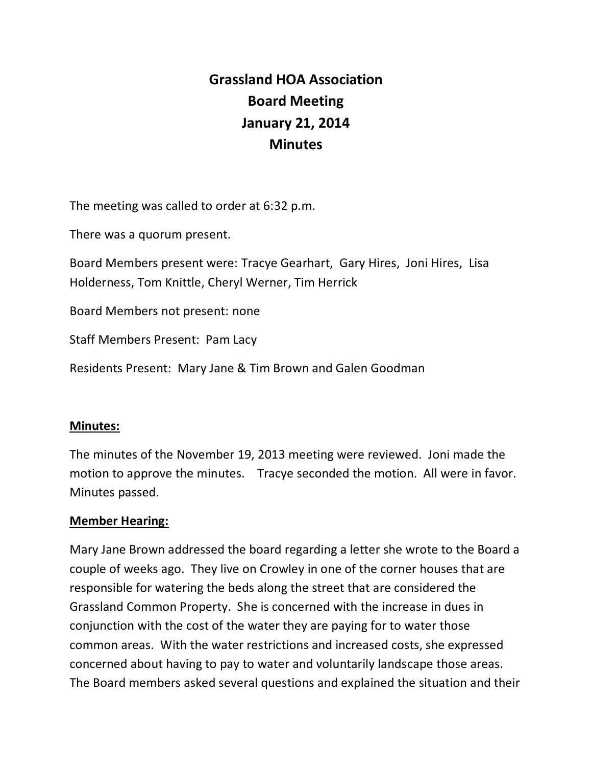# **Grassland HOA Association Board Meeting January 21, 2014 Minutes**

The meeting was called to order at 6:32 p.m.

There was a quorum present.

Board Members present were: Tracye Gearhart, Gary Hires, Joni Hires, Lisa Holderness, Tom Knittle, Cheryl Werner, Tim Herrick

Board Members not present: none

Staff Members Present: Pam Lacy

Residents Present: Mary Jane & Tim Brown and Galen Goodman

#### **Minutes:**

The minutes of the November 19, 2013 meeting were reviewed. Joni made the motion to approve the minutes. Tracye seconded the motion. All were in favor. Minutes passed.

## **Member Hearing:**

Mary Jane Brown addressed the board regarding a letter she wrote to the Board a couple of weeks ago. They live on Crowley in one of the corner houses that are responsible for watering the beds along the street that are considered the Grassland Common Property. She is concerned with the increase in dues in conjunction with the cost of the water they are paying for to water those common areas. With the water restrictions and increased costs, she expressed concerned about having to pay to water and voluntarily landscape those areas. The Board members asked several questions and explained the situation and their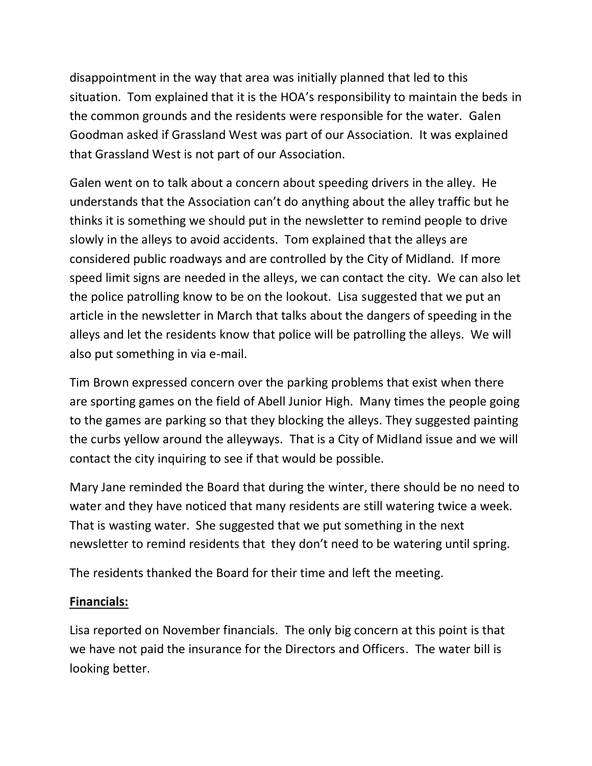disappointment in the way that area was initially planned that led to this situation. Tom explained that it is the HOA's responsibility to maintain the beds in the common grounds and the residents were responsible for the water. Galen Goodman asked if Grassland West was part of our Association. It was explained that Grassland West is not part of our Association.

Galen went on to talk about a concern about speeding drivers in the alley. He understands that the Association can't do anything about the alley traffic but he thinks it is something we should put in the newsletter to remind people to drive slowly in the alleys to avoid accidents. Tom explained that the alleys are considered public roadways and are controlled by the City of Midland. If more speed limit signs are needed in the alleys, we can contact the city. We can also let the police patrolling know to be on the lookout. Lisa suggested that we put an article in the newsletter in March that talks about the dangers of speeding in the alleys and let the residents know that police will be patrolling the alleys. We will also put something in via e-mail.

Tim Brown expressed concern over the parking problems that exist when there are sporting games on the field of Abell Junior High. Many times the people going to the games are parking so that they blocking the alleys. They suggested painting the curbs yellow around the alleyways. That is a City of Midland issue and we will contact the city inquiring to see if that would be possible.

Mary Jane reminded the Board that during the winter, there should be no need to water and they have noticed that many residents are still watering twice a week. That is wasting water. She suggested that we put something in the next newsletter to remind residents that they don't need to be watering until spring.

The residents thanked the Board for their time and left the meeting.

## **Financials:**

Lisa reported on November financials. The only big concern at this point is that we have not paid the insurance for the Directors and Officers. The water bill is looking better.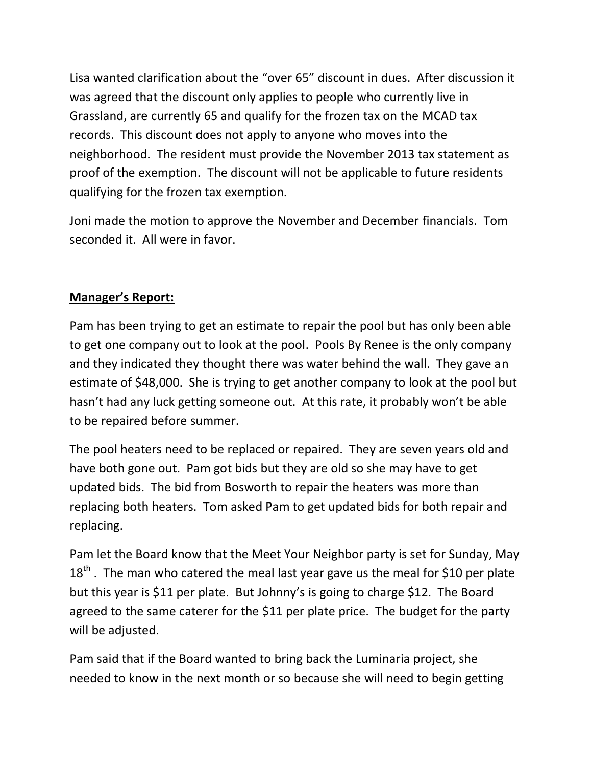Lisa wanted clarification about the "over 65" discount in dues. After discussion it was agreed that the discount only applies to people who currently live in Grassland, are currently 65 and qualify for the frozen tax on the MCAD tax records. This discount does not apply to anyone who moves into the neighborhood. The resident must provide the November 2013 tax statement as proof of the exemption. The discount will not be applicable to future residents qualifying for the frozen tax exemption.

Joni made the motion to approve the November and December financials. Tom seconded it. All were in favor.

## **Manager's Report:**

Pam has been trying to get an estimate to repair the pool but has only been able to get one company out to look at the pool. Pools By Renee is the only company and they indicated they thought there was water behind the wall. They gave an estimate of \$48,000. She is trying to get another company to look at the pool but hasn't had any luck getting someone out. At this rate, it probably won't be able to be repaired before summer.

The pool heaters need to be replaced or repaired. They are seven years old and have both gone out. Pam got bids but they are old so she may have to get updated bids. The bid from Bosworth to repair the heaters was more than replacing both heaters. Tom asked Pam to get updated bids for both repair and replacing.

Pam let the Board know that the Meet Your Neighbor party is set for Sunday, May  $18<sup>th</sup>$ . The man who catered the meal last year gave us the meal for \$10 per plate but this year is \$11 per plate. But Johnny's is going to charge \$12. The Board agreed to the same caterer for the \$11 per plate price. The budget for the party will be adjusted.

Pam said that if the Board wanted to bring back the Luminaria project, she needed to know in the next month or so because she will need to begin getting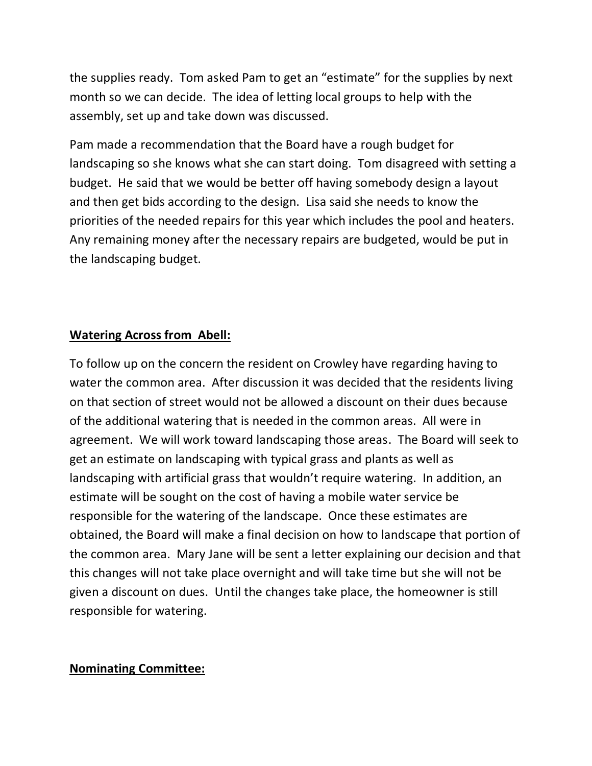the supplies ready. Tom asked Pam to get an "estimate" for the supplies by next month so we can decide. The idea of letting local groups to help with the assembly, set up and take down was discussed.

Pam made a recommendation that the Board have a rough budget for landscaping so she knows what she can start doing. Tom disagreed with setting a budget. He said that we would be better off having somebody design a layout and then get bids according to the design. Lisa said she needs to know the priorities of the needed repairs for this year which includes the pool and heaters. Any remaining money after the necessary repairs are budgeted, would be put in the landscaping budget.

## **Watering Across from Abell:**

To follow up on the concern the resident on Crowley have regarding having to water the common area. After discussion it was decided that the residents living on that section of street would not be allowed a discount on their dues because of the additional watering that is needed in the common areas. All were in agreement. We will work toward landscaping those areas. The Board will seek to get an estimate on landscaping with typical grass and plants as well as landscaping with artificial grass that wouldn't require watering. In addition, an estimate will be sought on the cost of having a mobile water service be responsible for the watering of the landscape. Once these estimates are obtained, the Board will make a final decision on how to landscape that portion of the common area. Mary Jane will be sent a letter explaining our decision and that this changes will not take place overnight and will take time but she will not be given a discount on dues. Until the changes take place, the homeowner is still responsible for watering.

## **Nominating Committee:**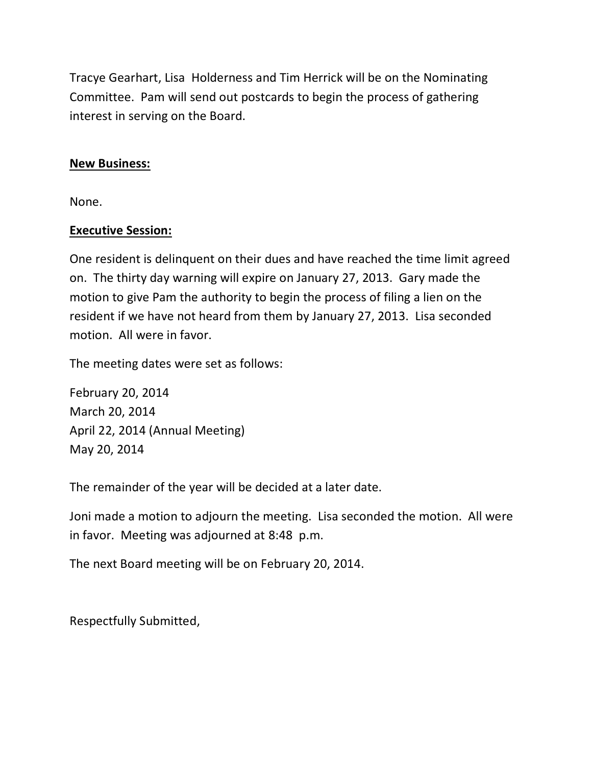Tracye Gearhart, Lisa Holderness and Tim Herrick will be on the Nominating Committee. Pam will send out postcards to begin the process of gathering interest in serving on the Board.

#### **New Business:**

None.

#### **Executive Session:**

One resident is delinquent on their dues and have reached the time limit agreed on. The thirty day warning will expire on January 27, 2013. Gary made the motion to give Pam the authority to begin the process of filing a lien on the resident if we have not heard from them by January 27, 2013. Lisa seconded motion. All were in favor.

The meeting dates were set as follows:

February 20, 2014 March 20, 2014 April 22, 2014 (Annual Meeting) May 20, 2014

The remainder of the year will be decided at a later date.

Joni made a motion to adjourn the meeting. Lisa seconded the motion. All were in favor. Meeting was adjourned at 8:48 p.m.

The next Board meeting will be on February 20, 2014.

Respectfully Submitted,